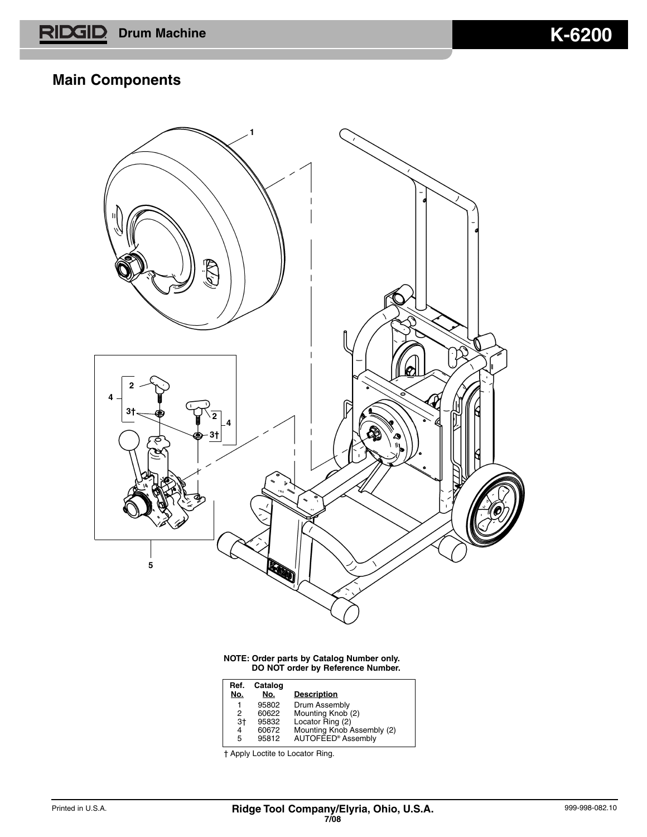## **Main Components**



**NOTE: Order parts by Catalog Number only. DO NOT order by Reference Number.**

| Ref.<br>No. | Catalog<br>No. | <b>Description</b>             |
|-------------|----------------|--------------------------------|
| 1           | 95802          | Drum Assembly                  |
| 2           | 60622          | Mounting Knob (2)              |
| 3†          | 95832          | Locator Ring (2)               |
| 4           | 60672          | Mounting Knob Assembly (2)     |
| 5           | 95812          | AUTOFEED <sup>®</sup> Assembly |

† Apply Loctite to Locator Ring.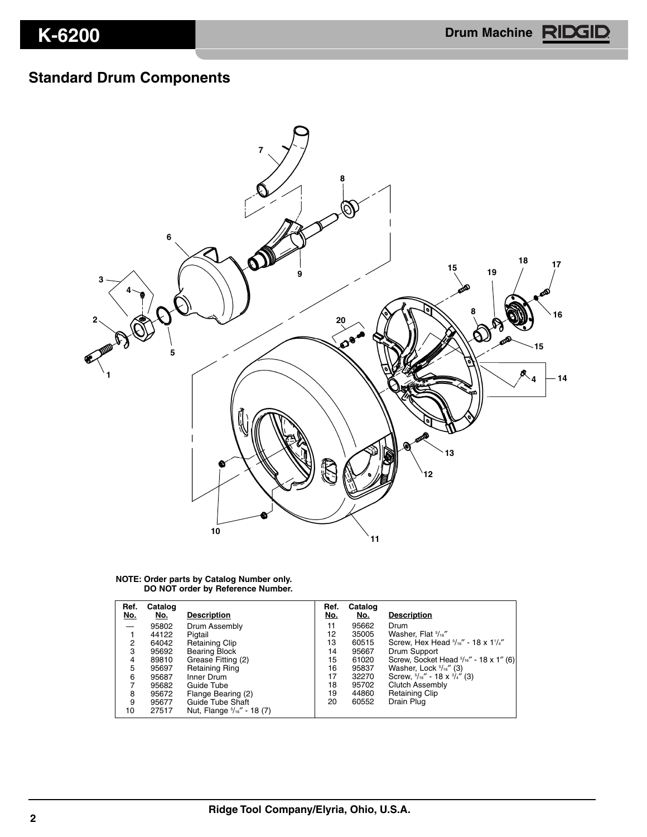# **Standard Drum Components**



#### **NOTE: Order parts by Catalog Number only. DO NOT order by Reference Number.**

| Ref.<br>No. | Catalog<br>No. | <b>Description</b>                    | Ref.<br>No. | Catalog<br>No. | <b>Description</b>                                 |
|-------------|----------------|---------------------------------------|-------------|----------------|----------------------------------------------------|
|             | 95802          | Drum Assembly                         | 11          | 95662          | Drum                                               |
|             | 44122          | Pigtail                               | 12          | 35005          | Washer, Flat 5/16"                                 |
| 2           | 64042          | <b>Retaining Clip</b>                 | 13          | 60515          | Screw, Hex Head $5/16''$ - 18 x 1 $1/4''$          |
| 3           | 95692          | <b>Bearing Block</b>                  | 14          | 95667          | Drum Support                                       |
| 4           | 89810          | Grease Fitting (2)                    | 15          | 61020          | Screw, Socket Head $\frac{5}{16}$ " - 18 x 1" (6)  |
| 5           | 95697          | <b>Retaining Ring</b>                 | 16          | 95837          | Washer, Lock $5/16''$ (3)                          |
| 6           | 95687          | Inner Drum                            | 17          | 32270          | Screw, $\frac{5}{16}$ " - 18 x $\frac{3}{4}$ " (3) |
|             | 95682          | Guide Tube                            | 18          | 95702          | <b>Clutch Assembly</b>                             |
| 8           | 95672          | Flange Bearing (2)                    | 19          | 44860          | <b>Retaining Clip</b>                              |
| 9           | 95677          | Guide Tube Shaft                      | 20          | 60552          | Drain Plug                                         |
| 10          | 27517          | Nut, Flange $\frac{5}{16}$ " - 18 (7) |             |                |                                                    |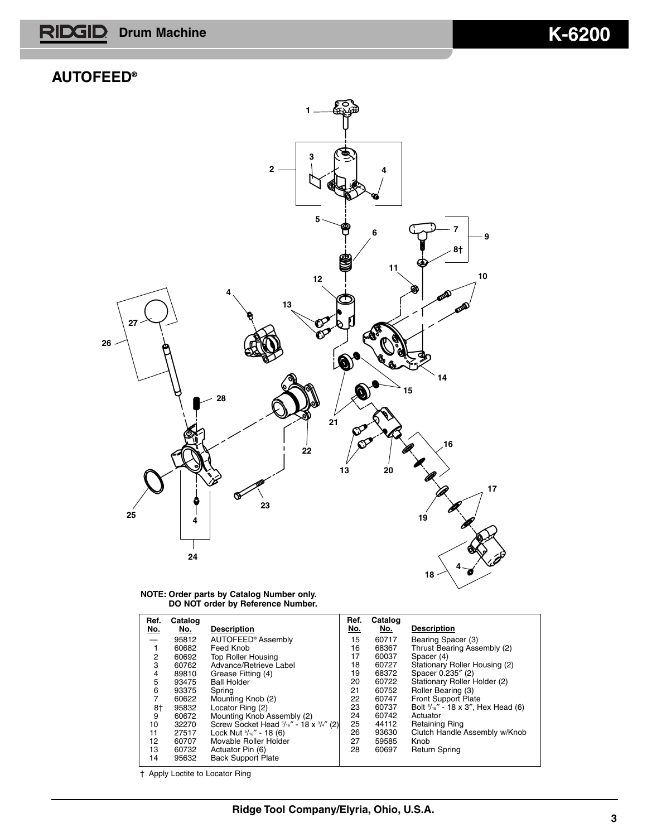**Drum Machine K-6200** RID GID

### **AUTOFEED®**



|  |  |  | NOTE: Order parts by Catalog Number only. |
|--|--|--|-------------------------------------------|
|  |  |  | DO NOT order by Reference Number.         |

| Ref.<br>No. | Catalog<br>No. | <b>Description</b>                      | Ref.<br>No. | Catalog<br>No. | <b>Description</b>                          |
|-------------|----------------|-----------------------------------------|-------------|----------------|---------------------------------------------|
|             | 95812          | AUTOFEED <sup>®</sup> Assembly          | 15          | 60717          | Bearing Spacer (3)                          |
|             | 60682          | Feed Knob                               | 16          | 68367          | Thrust Bearing Assembly (2)                 |
| 2           | 60692          | <b>Top Roller Housing</b>               | 17          | 60037          | Spacer (4)                                  |
| 3           | 60762          | Advance/Retrieve Label                  | 18          | 60727          | Stationary Roller Housing (2)               |
| 4           | 89810          | Grease Fitting (4)                      | 19          | 68372          | Spacer 0.235" (2)                           |
| 5           | 93475          | <b>Ball Holder</b>                      | 20          | 60722          | Stationary Roller Holder (2)                |
| 6           | 93375          | Spring                                  | 21          | 60752          | Roller Bearing (3)                          |
| 7           | 60622          | Mounting Knob (2)                       | 22          | 60747          | Front Support Plate                         |
| 8†          | 95832          | Locator Ring (2)                        | 23          | 60737          | Bolt $\frac{5}{16}$ - 18 x 3", Hex Head (6) |
| 9           | 60672          | Mounting Knob Assembly (2)              | 24          | 60742          | Actuator                                    |
| 10          | 32270          | Screw Socket Head 5/16" - 18 x 3/4" (2) | 25          | 44112          | Retaining Ring                              |
| 11          | 27517          | Lock Nut $\frac{5}{16}$ " - 18 (6)      | 26          | 93630          | Clutch Handle Assembly w/Knob               |
| 12          | 60707          | Movable Roller Holder                   | 27          | 59585          | Knob                                        |
| 13          | 60732          | Actuator Pin (6)                        | 28          | 60697          | <b>Return Spring</b>                        |
| 14          | 95632          | <b>Back Support Plate</b>               |             |                |                                             |

† Apply Loctite to Locator Ring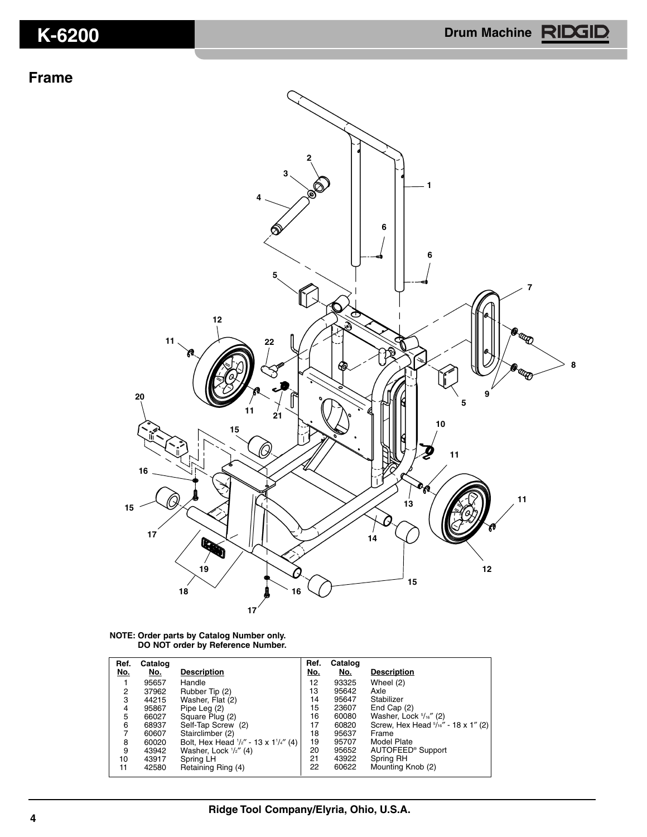### **Frame**



**NOTE: Order parts by Catalog Number only. DO NOT order by Reference Number.**

| Ref.<br>No. | Catalog<br>No. | <b>Description</b>                   | Ref.<br><u>No.</u> | Catalog<br>No. | <b>Description</b>                  |
|-------------|----------------|--------------------------------------|--------------------|----------------|-------------------------------------|
|             | 95657          | Handle                               | 12                 | 93325          | Wheel (2)                           |
| 2           | 37962          | Rubber Tip (2)                       | 13                 | 95642          | Axle                                |
| 3           | 44215          | Washer, Flat (2)                     | 14                 | 95647          | Stabilizer                          |
| 4           | 95867          | Pipe Leg (2)                         | 15                 | 23607          | End Cap (2)                         |
| 5           | 66027          | Square Plug (2)                      | 16                 | 60080          | Washer, Lock $5/16''$ (2)           |
| 6           | 68937          | Self-Tap Screw (2)                   | 17                 | 60820          | Screw, Hex Head 5/16" - 18 x 1" (2) |
|             | 60607          | Stairclimber (2)                     | 18                 | 95637          | Frame                               |
| 8           | 60020          | Bolt, Hex Head 1/2" - 13 x 11/4" (4) | 19                 | 95707          | Model Plate                         |
| 9           | 43942          | Washer, Lock $\frac{1}{2}$ (4)       | 20                 | 95652          | AUTOFEED <sup>®</sup> Support       |
| 10          | 43917          | Spring LH                            | 21                 | 43922          | Spring RH                           |
| 11          | 42580          | Retaining Ring (4)                   | 22                 | 60622          | Mounting Knob (2)                   |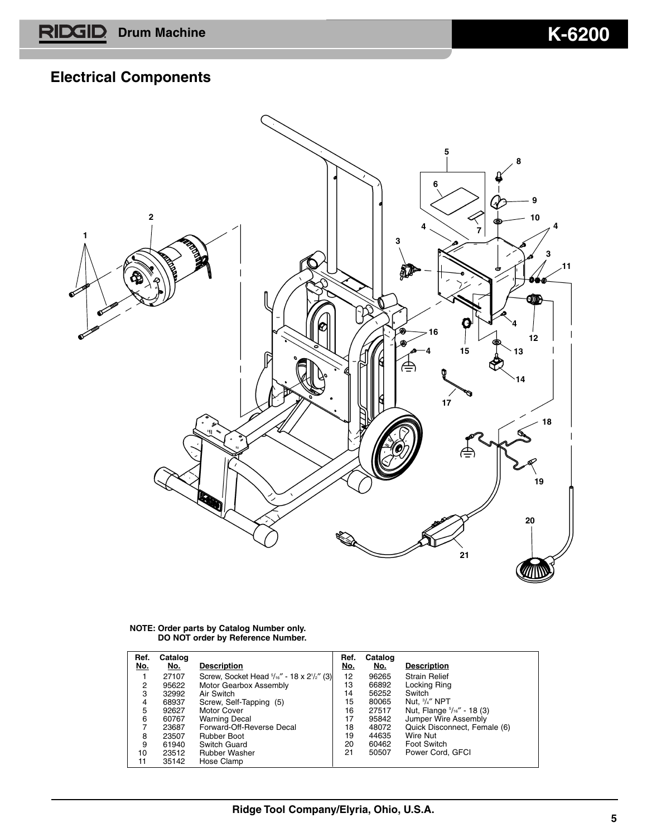# **Electrical Components**



**NOTE: Order parts by Catalog Number only. DO NOT order by Reference Number.**

| Ref.<br>No. | Catalog<br>No. | <b>Description</b>                        | Ref.<br>No. | Catalog<br>No. | <b>Description</b>           |
|-------------|----------------|-------------------------------------------|-------------|----------------|------------------------------|
|             | 27107          | Screw, Socket Head 5/16" - 18 x 21/2" (3) | 12          | 96265          | <b>Strain Relief</b>         |
| 2           | 95622          | Motor Gearbox Assembly                    | 13          | 66892          | Locking Ring                 |
| 3           | 32992          | Air Switch                                | 14          | 56252          | Switch                       |
| 4           | 68937          | Screw, Self-Tapping (5)                   | 15          | 80065          | Nut. $\frac{3}{4}$ " NPT     |
| 5           | 92627          | Motor Cover                               | 16          | 27517          | Nut, Flange 5/16" - 18 (3)   |
| 6           | 60767          | <b>Warning Decal</b>                      | 17          | 95842          | Jumper Wire Assembly         |
|             | 23687          | Forward-Off-Reverse Decal                 | 18          | 48072          | Quick Disconnect, Female (6) |
| 8           | 23507          | <b>Rubber Boot</b>                        | 19          | 44635          | Wire Nut                     |
| 9           | 61940          | Switch Guard                              | 20          | 60462          | Foot Switch                  |
| 10          | 23512          | <b>Rubber Washer</b>                      | 21          | 50507          | Power Cord. GFCI             |
| 11          | 35142          | Hose Clamp                                |             |                |                              |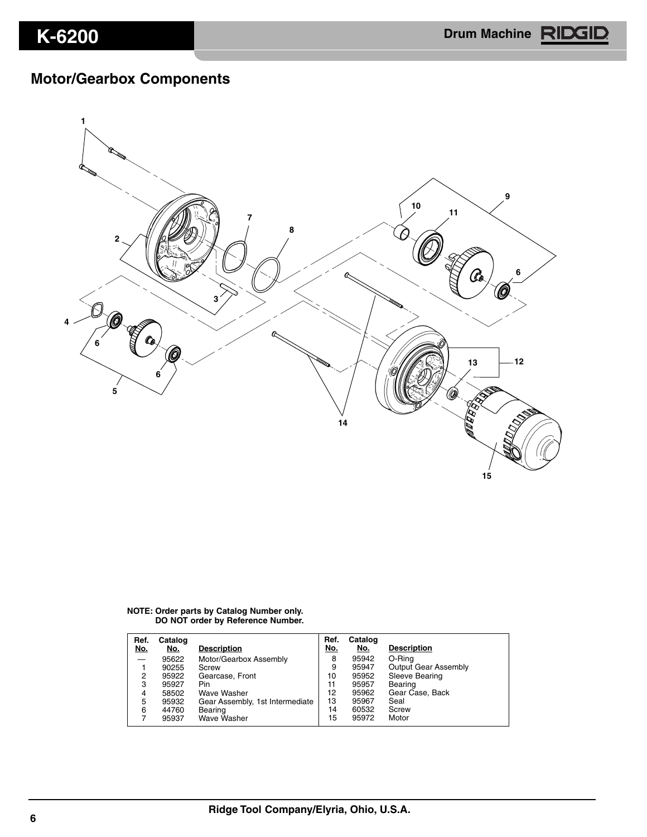# **Motor/Gearbox Components**



#### **NOTE: Order parts by Catalog Number only. DO NOT order by Reference Number.**

| Ref.<br><u>No.</u> | Catalog<br>No. | <b>Description</b>              | Ref.<br>No. | Catalog<br>No. | <b>Description</b>          |
|--------------------|----------------|---------------------------------|-------------|----------------|-----------------------------|
| —                  | 95622          | Motor/Gearbox Assembly          | 8           | 95942          | O-Rina                      |
|                    | 90255          | Screw                           | 9           | 95947          | <b>Output Gear Assembly</b> |
| 2                  | 95922          | Gearcase, Front                 | 10          | 95952          | Sleeve Bearing              |
| 3                  | 95927          | Pin.                            | 11          | 95957          | Bearing                     |
| 4                  | 58502          | Wave Washer                     | 12          | 95962          | Gear Case, Back             |
| 5                  | 95932          | Gear Assembly, 1st Intermediate | 13          | 95967          | Seal                        |
| 6                  | 44760          | Bearing                         | 14          | 60532          | Screw                       |
|                    | 95937          | <b>Wave Washer</b>              | 15          | 95972          | Motor                       |